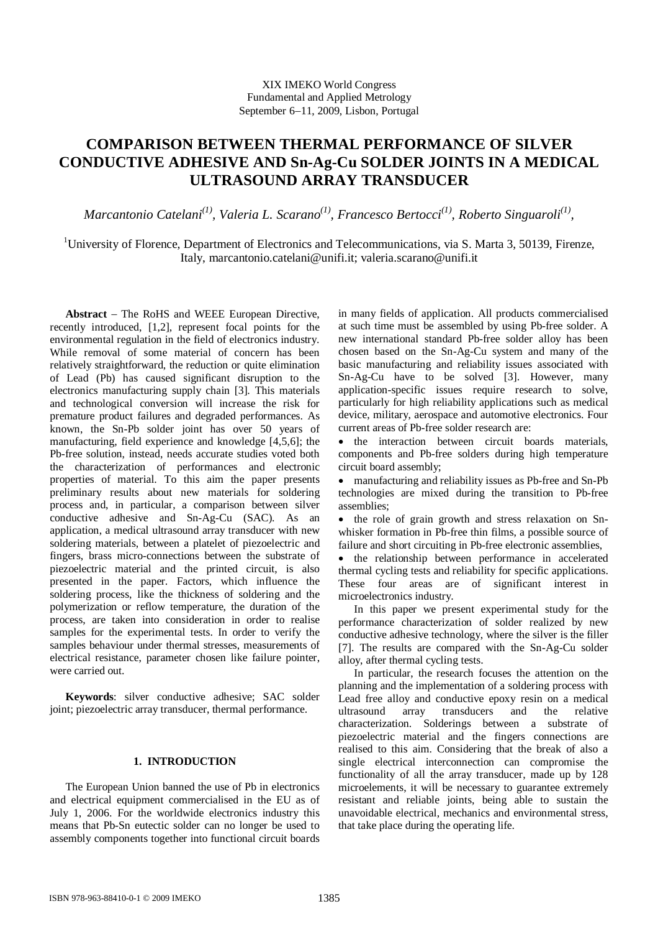# **COMPARISON BETWEEN THERMAL PERFORMANCE OF SILVER CONDUCTIVE ADHESIVE AND Sn-Ag-Cu SOLDER JOINTS IN A MEDICAL ULTRASOUND ARRAY TRANSDUCER**

*Marcantonio Catelani*<sup>(1)</sup>, Valeria L. Scarano<sup>(1)</sup>, Francesco Bertocci<sup>(1)</sup>, Roberto Singuaroli<sup>(1)</sup>,

<sup>1</sup>University of Florence, Department of Electronics and Telecommunications, via S. Marta 3, 50139, Firenze, Italy, marcantonio.catelani@unifi.it; valeria.scarano@unifi.it

**Abstract** – The RoHS and WEEE European Directive, recently introduced, [1,2], represent focal points for the environmental regulation in the field of electronics industry. While removal of some material of concern has been relatively straightforward, the reduction or quite elimination of Lead (Pb) has caused significant disruption to the electronics manufacturing supply chain [3]. This materials and technological conversion will increase the risk for premature product failures and degraded performances. As known, the Sn-Pb solder joint has over 50 years of manufacturing, field experience and knowledge [4,5,6]; the Pb-free solution, instead, needs accurate studies voted both the characterization of performances and electronic properties of material. To this aim the paper presents preliminary results about new materials for soldering process and, in particular, a comparison between silver conductive adhesive and Sn-Ag-Cu (SAC). As an application, a medical ultrasound array transducer with new soldering materials, between a platelet of piezoelectric and fingers, brass micro-connections between the substrate of piezoelectric material and the printed circuit, is also presented in the paper. Factors, which influence the soldering process, like the thickness of soldering and the polymerization or reflow temperature, the duration of the process, are taken into consideration in order to realise samples for the experimental tests. In order to verify the samples behaviour under thermal stresses, measurements of electrical resistance, parameter chosen like failure pointer, were carried out.

**Keywords**: silver conductive adhesive; SAC solder joint; piezoelectric array transducer, thermal performance.

# **1. INTRODUCTION**

The European Union banned the use of Pb in electronics and electrical equipment commercialised in the EU as of July 1, 2006. For the worldwide electronics industry this means that Pb-Sn eutectic solder can no longer be used to assembly components together into functional circuit boards in many fields of application. All products commercialised at such time must be assembled by using Pb-free solder. A new international standard Pb-free solder alloy has been chosen based on the Sn-Ag-Cu system and many of the basic manufacturing and reliability issues associated with Sn-Ag-Cu have to be solved [3]. However, many application-specific issues require research to solve, particularly for high reliability applications such as medical device, military, aerospace and automotive electronics. Four current areas of Pb-free solder research are:

• the interaction between circuit boards materials, components and Pb-free solders during high temperature circuit board assembly;

 manufacturing and reliability issues as Pb-free and Sn-Pb technologies are mixed during the transition to Pb-free assemblies;

• the role of grain growth and stress relaxation on Snwhisker formation in Pb-free thin films, a possible source of failure and short circuiting in Pb-free electronic assemblies,

• the relationship between performance in accelerated thermal cycling tests and reliability for specific applications. These four areas are of significant interest in microelectronics industry.

In this paper we present experimental study for the performance characterization of solder realized by new conductive adhesive technology, where the silver is the filler [7]. The results are compared with the Sn-Ag-Cu solder alloy, after thermal cycling tests.

In particular, the research focuses the attention on the planning and the implementation of a soldering process with Lead free alloy and conductive epoxy resin on a medical ultrasound array transducers and the relative characterization. Solderings between a substrate of piezoelectric material and the fingers connections are realised to this aim. Considering that the break of also a single electrical interconnection can compromise the functionality of all the array transducer, made up by 128 microelements, it will be necessary to guarantee extremely resistant and reliable joints, being able to sustain the unavoidable electrical, mechanics and environmental stress, that take place during the operating life.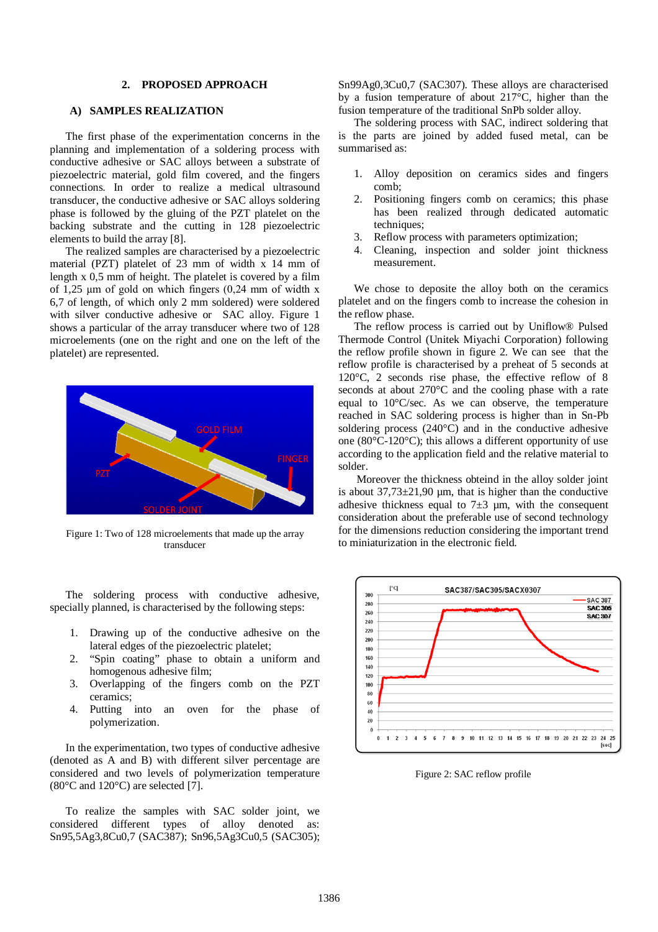## **2. PROPOSED APPROACH**

# **A) SAMPLES REALIZATION**

The first phase of the experimentation concerns in the planning and implementation of a soldering process with conductive adhesive or SAC alloys between a substrate of piezoelectric material, gold film covered, and the fingers connections. In order to realize a medical ultrasound transducer, the conductive adhesive or SAC alloys soldering phase is followed by the gluing of the PZT platelet on the backing substrate and the cutting in 128 piezoelectric elements to build the array [8].

The realized samples are characterised by a piezoelectric material (PZT) platelet of 23 mm of width x 14 mm of length x 0,5 mm of height. The platelet is covered by a film of  $1,25 \mu m$  of gold on which fingers (0,24 mm of width x 6,7 of length, of which only 2 mm soldered) were soldered with silver conductive adhesive or SAC alloy. Figure 1 shows a particular of the array transducer where two of 128 microelements (one on the right and one on the left of the platelet) are represented.



Figure 1: Two of 128 microelements that made up the array transducer

The soldering process with conductive adhesive, specially planned, is characterised by the following steps:

- 1. Drawing up of the conductive adhesive on the lateral edges of the piezoelectric platelet;
- 2. "Spin coating" phase to obtain a uniform and homogenous adhesive film;
- 3. Overlapping of the fingers comb on the PZT ceramics;
- 4. Putting into an oven for the phase of polymerization.

In the experimentation, two types of conductive adhesive (denoted as A and B) with different silver percentage are considered and two levels of polymerization temperature  $(80^{\circ}$ C and  $120^{\circ}$ C) are selected [7].

To realize the samples with SAC solder joint, we considered different types of alloy denoted as: Sn95,5Ag3,8Cu0,7 (SAC387); Sn96,5Ag3Cu0,5 (SAC305); Sn99Ag0,3Cu0,7 (SAC307). These alloys are characterised by a fusion temperature of about 217°C, higher than the fusion temperature of the traditional SnPb solder alloy.

The soldering process with SAC, indirect soldering that is the parts are joined by added fused metal, can be summarised as:

- 1. Alloy deposition on ceramics sides and fingers comb;
- 2. Positioning fingers comb on ceramics; this phase has been realized through dedicated automatic techniques;
- 3. Reflow process with parameters optimization;
- 4. Cleaning, inspection and solder joint thickness measurement.

We chose to deposite the alloy both on the ceramics platelet and on the fingers comb to increase the cohesion in the reflow phase.

The reflow process is carried out by Uniflow® Pulsed Thermode Control (Unitek Miyachi Corporation) following the reflow profile shown in figure 2. We can see that the reflow profile is characterised by a preheat of 5 seconds at 120°C, 2 seconds rise phase, the effective reflow of 8 seconds at about 270°C and the cooling phase with a rate equal to 10°C/sec. As we can observe, the temperature reached in SAC soldering process is higher than in Sn-Pb soldering process (240°C) and in the conductive adhesive one (80°C-120°C); this allows a different opportunity of use according to the application field and the relative material to solder.

Moreover the thickness obteind in the alloy solder joint is about  $37,73\pm21,90$  µm, that is higher than the conductive adhesive thickness equal to  $7\pm3$  µm, with the consequent consideration about the preferable use of second technology for the dimensions reduction considering the important trend to miniaturization in the electronic field.



Figure 2: SAC reflow profile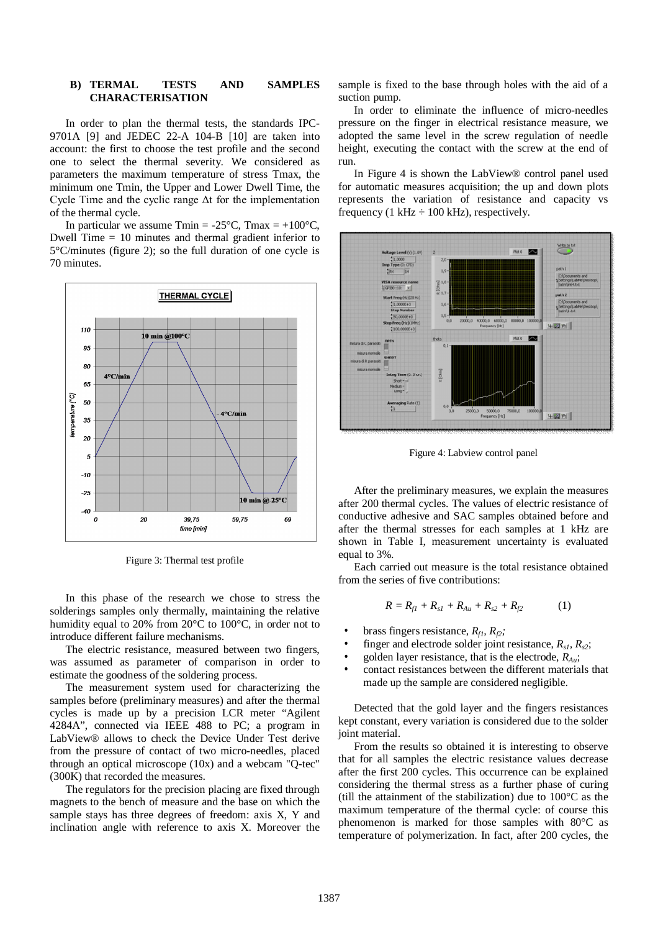### **B) TERMAL TESTS AND SAMPLES CHARACTERISATION**

In order to plan the thermal tests, the standards IPC-9701A [9] and JEDEC 22-A 104-B [10] are taken into account: the first to choose the test profile and the second one to select the thermal severity. We considered as parameters the maximum temperature of stress Tmax, the minimum one Tmin, the Upper and Lower Dwell Time, the Cycle Time and the cyclic range Δt for the implementation of the thermal cycle.

In particular we assume  $T_{\text{min}} = -25^{\circ}\text{C}$ ,  $T_{\text{max}} = +100^{\circ}\text{C}$ , Dwell Time = 10 minutes and thermal gradient inferior to 5°C/minutes (figure 2); so the full duration of one cycle is 70 minutes.



Figure 3: Thermal test profile

In this phase of the research we chose to stress the solderings samples only thermally, maintaining the relative humidity equal to 20% from 20°C to 100°C, in order not to introduce different failure mechanisms.

The electric resistance, measured between two fingers, was assumed as parameter of comparison in order to estimate the goodness of the soldering process.

The measurement system used for characterizing the samples before (preliminary measures) and after the thermal cycles is made up by a precision LCR meter "Agilent 4284A", connected via IEEE 488 to PC; a program in LabView® allows to check the Device Under Test derive from the pressure of contact of two micro-needles, placed through an optical microscope (10x) and a webcam "Q-tec" (300K) that recorded the measures.

The regulators for the precision placing are fixed through magnets to the bench of measure and the base on which the sample stays has three degrees of freedom: axis X, Y and inclination angle with reference to axis X. Moreover the sample is fixed to the base through holes with the aid of a suction pump.

In order to eliminate the influence of micro-needles pressure on the finger in electrical resistance measure, we adopted the same level in the screw regulation of needle height, executing the contact with the screw at the end of run.

In Figure 4 is shown the LabView® control panel used for automatic measures acquisition; the up and down plots represents the variation of resistance and capacity vs frequency (1 kHz  $\div$  100 kHz), respectively.



Figure 4: Labview control panel

After the preliminary measures, we explain the measures after 200 thermal cycles. The values of electric resistance of conductive adhesive and SAC samples obtained before and after the thermal stresses for each samples at 1 kHz are shown in Table I, measurement uncertainty is evaluated equal to 3%.

Each carried out measure is the total resistance obtained from the series of five contributions:

$$
R = R_{f1} + R_{s1} + R_{Au} + R_{s2} + R_{f2} \tag{1}
$$

- brass fingers resistance, *Rf1, Rf2;*
- finger and electrode solder joint resistance,  $R_{s1}$ ,  $R_{s2}$ ;
- golden layer resistance, that is the electrode, *RAu*;
- contact resistances between the different materials that made up the sample are considered negligible.

Detected that the gold layer and the fingers resistances kept constant, every variation is considered due to the solder joint material.

From the results so obtained it is interesting to observe that for all samples the electric resistance values decrease after the first 200 cycles. This occurrence can be explained considering the thermal stress as a further phase of curing (till the attainment of the stabilization) due to  $100^{\circ}$ C as the maximum temperature of the thermal cycle: of course this phenomenon is marked for those samples with 80°C as temperature of polymerization. In fact, after 200 cycles, the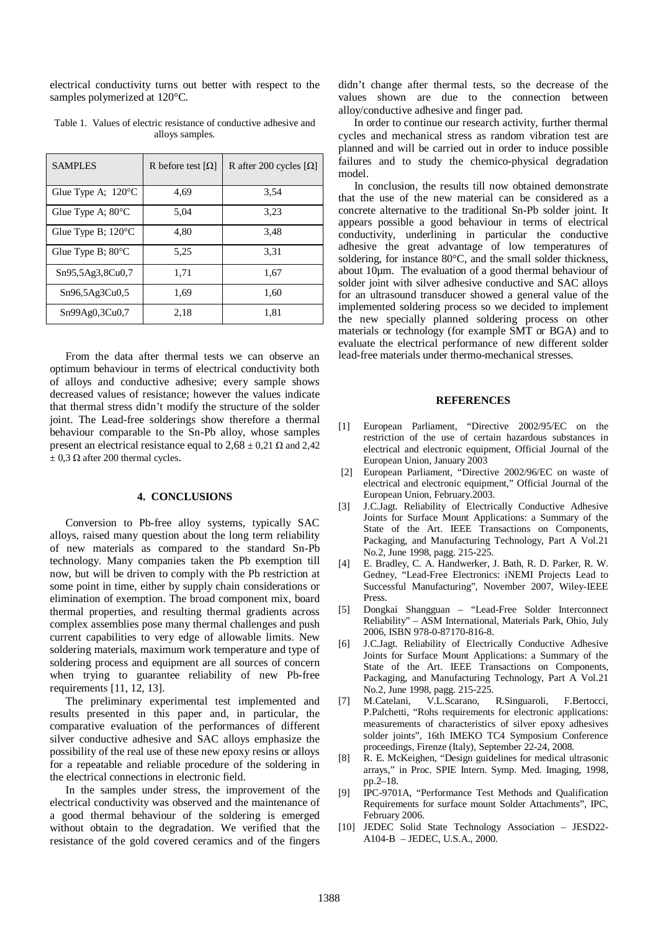electrical conductivity turns out better with respect to the samples polymerized at 120°C.

| <b>SAMPLES</b>               | R before test $[\Omega]$ | R after 200 cycles $[\Omega]$ |
|------------------------------|--------------------------|-------------------------------|
| Glue Type A; 120°C           | 4.69                     | 3.54                          |
| Glue Type A; $80^{\circ}$ C  | 5,04                     | 3,23                          |
| Glue Type B; $120^{\circ}$ C | 4.80                     | 3.48                          |
| Glue Type B; $80^{\circ}$ C  | 5.25                     | 3.31                          |
| Sn95,5Ag3,8Cu0,7             | 1,71                     | 1,67                          |
| Sn96,5Ag3Cu0,5               | 1.69                     | 1.60                          |
| Sn99Ag0,3Cu0,7               | 2,18                     | 1,81                          |

Table 1. Values of electric resistance of conductive adhesive and alloys samples.

From the data after thermal tests we can observe an optimum behaviour in terms of electrical conductivity both of alloys and conductive adhesive; every sample shows decreased values of resistance; however the values indicate that thermal stress didn't modify the structure of the solder joint. The Lead-free solderings show therefore a thermal behaviour comparable to the Sn-Pb alloy, whose samples present an electrical resistance equal to  $2,68 \pm 0,21 \Omega$  and  $2,42$  $\pm$  0,3  $\Omega$  after 200 thermal cycles.

#### **4. CONCLUSIONS**

Conversion to Pb-free alloy systems, typically SAC alloys, raised many question about the long term reliability of new materials as compared to the standard Sn-Pb technology. Many companies taken the Pb exemption till now, but will be driven to comply with the Pb restriction at some point in time, either by supply chain considerations or elimination of exemption. The broad component mix, board thermal properties, and resulting thermal gradients across complex assemblies pose many thermal challenges and push current capabilities to very edge of allowable limits. New soldering materials, maximum work temperature and type of soldering process and equipment are all sources of concern when trying to guarantee reliability of new Pb-free requirements [11, 12, 13].

The preliminary experimental test implemented and results presented in this paper and, in particular, the comparative evaluation of the performances of different silver conductive adhesive and SAC alloys emphasize the possibility of the real use of these new epoxy resins or alloys for a repeatable and reliable procedure of the soldering in the electrical connections in electronic field.

In the samples under stress, the improvement of the electrical conductivity was observed and the maintenance of a good thermal behaviour of the soldering is emerged without obtain to the degradation. We verified that the resistance of the gold covered ceramics and of the fingers didn't change after thermal tests, so the decrease of the values shown are due to the connection between alloy/conductive adhesive and finger pad.

In order to continue our research activity, further thermal cycles and mechanical stress as random vibration test are planned and will be carried out in order to induce possible failures and to study the chemico-physical degradation model.

In conclusion, the results till now obtained demonstrate that the use of the new material can be considered as a concrete alternative to the traditional Sn-Pb solder joint. It appears possible a good behaviour in terms of electrical conductivity, underlining in particular the conductive adhesive the great advantage of low temperatures of soldering, for instance 80°C, and the small solder thickness, about 10µm. The evaluation of a good thermal behaviour of solder joint with silver adhesive conductive and SAC alloys for an ultrasound transducer showed a general value of the implemented soldering process so we decided to implement the new specially planned soldering process on other materials or technology (for example SMT or BGA) and to evaluate the electrical performance of new different solder lead-free materials under thermo-mechanical stresses.

#### **REFERENCES**

- [1] European Parliament, "Directive 2002/95/EC on the restriction of the use of certain hazardous substances in electrical and electronic equipment, Official Journal of the European Union, January 2003
- [2] European Parliament, "Directive 2002/96/EC on waste of electrical and electronic equipment," Official Journal of the European Union, February.2003.
- [3] J.C.Jagt. Reliability of Electrically Conductive Adhesive Joints for Surface Mount Applications: a Summary of the State of the Art. IEEE Transactions on Components, Packaging, and Manufacturing Technology, Part A Vol.21 No.2, June 1998, pagg. 215-225.
- [4] E. Bradley, C. A. Handwerker, J. Bath, R. D. Parker, R. W. Gedney, "Lead-Free Electronics: iNEMI Projects Lead to Successful Manufacturing", November 2007, Wiley-IEEE Press.
- [5] Dongkai Shangguan "Lead-Free Solder Interconnect Reliability" – ASM International, Materials Park, Ohio, July 2006, ISBN 978-0-87170-816-8.
- [6] J.C.Jagt. Reliability of Electrically Conductive Adhesive Joints for Surface Mount Applications: a Summary of the State of the Art. IEEE Transactions on Components, Packaging, and Manufacturing Technology, Part A Vol.21 No.2, June 1998, pagg. 215-225.
- [7] M.Catelani, V.L.Scarano, R.Singuaroli, F.Bertocci, P.Palchetti, "Rohs requirements for electronic applications: measurements of characteristics of silver epoxy adhesives solder joints", 16th IMEKO TC4 Symposium Conference proceedings, Firenze (Italy), September 22-24, 2008.
- [8] R. E. McKeighen, "Design guidelines for medical ultrasonic arrays," in Proc. SPIE Intern. Symp. Med. Imaging, 1998, pp.2–18.
- [9] IPC-9701A, "Performance Test Methods and Qualification Requirements for surface mount Solder Attachments", IPC, February 2006.
- [10] JEDEC Solid State Technology Association JESD22- A104-B – JEDEC, U.S.A., 2000.